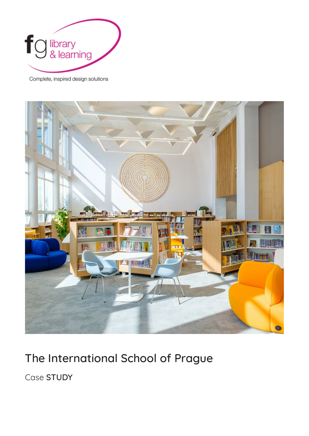

Complete, inspired design solutions



## The International School of Prague

Case STUDY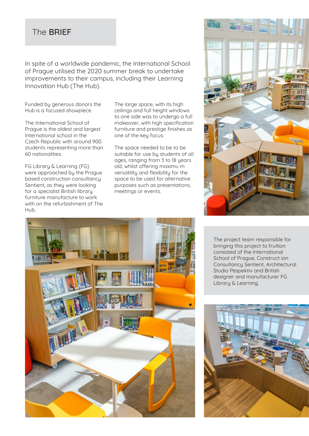## The BRIEF

In spite of a worldwide pandemic, the International School of Prague utilised the 2020 summer break to undertake improvements to their campus, including their Learning Innovation Hub (The Hub).

Funded by generous donors the Hub is a focused showpiece.

The International School of Prague is the oldest and largest International school in the Czech Republic with around 900 students representing more than 60 nationalities.

FG Library & Learning (FG) were approached by the Prague based construction consultancy Sentient, as they were looking for a specialist British library furniture manufacture to work with on the refurbishment of The Hub.

The large space, with its high ceilings and full height windows to one side was to undergo a full makeover, with high specification furniture and prestige finishes as one of the key focus.

The space needed to be to be suitable for use by students of all ages, ranging from 3 to 18 years old, whilst offering maximu m versatility and flexibility for the space to be used for alternative purposes such as presentations, meetings or events.





The project team responsible for bringing this project to fruition consisted of the International School of Prague, Construct ion Consultancy Sentient, Architectural Studio Pespektiv and British designer and manufacturer FG Library & Learning.

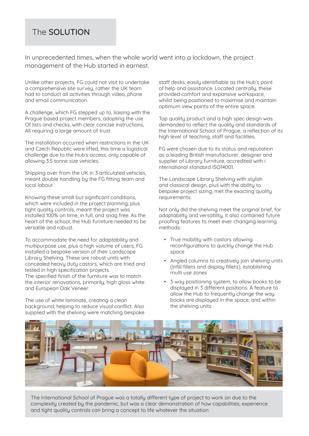## The SOLUTION

In unprecedented times, when the whole world went into a lockdown, the project management of the Hub started in earnest.

Unlike other projects, FG could not visit to undertake a comprehensive site survey, rather the UK team had to conduct all activities through video, phone and email communication.

A challenge, which FG stepped up to, liaising with the Prague based project members, adopting the use Of lists and checks, with clear concise instructions, All requiring a large amount of trust.

The installation occurred when restrictions in the UK and Czech Republic were lifted, this time a logistical challenge due to the Hub's access, only capable of allowing 3.5 tonne size vehicles.

Shipping over from the UK in 3 articulated vehicles, meant double handling by the FG fitting team and local labour.

Knowing these small but significant conditions, which were included in the project planning, plus tight quality controls, meant the project was installed 100% on time, in full, and snag free. As the heart of the school, the Hub furniture needed to be versatile and robust.

To accommodate the need for adaptability and multipurpose use, plus a high volume of users, FG installed a bespoke version of their Landscape Library Shelving. These are robust units with concealed heavy duty castors, which are tried and tested in high specification projects. The specified finish of the furniture was to match the interior renovations, primarily, high gloss white and European Oak Veneer.

The use of white laminate, creating a clean background, helping to reduce visual conflict. Also supplied with the shelving were matching bespoke staff desks, easily identifiable as the Hub's point of help and assistance. Located centrally, these provided comfort and expansive workspace, whilst being positioned to maximise and maintain optimum view points of the entire space.

Top quality product and a high spec design was demanded to reflect the quality and standards of the International School of Prague, a reflection of its high level of teaching, staff and facilities.

FG were chosen due to its status and reputation as a leading British manufacturer, designer and supplier of Library furniture, accredited with i nternational standard ISO14001.

The Landscape Library Shelving with stulish and classical design, plus with the ability to bespoke project sizing, met the exacting quality requirements.

Not only did the shelving meet the original brief, for adaptability and versatility, it also contained future proofing features to meet ever changing learning methods:

- True mobility with castors allowing reconfigurations to quickly change the Hub space
- Angled columns to creatively join shelving units (infill fillets and display fillets), establishing multi use zones
- 3 way positioning system, to allow books to be displayed in 3 different positions. A feature to allow the Hub to frequently change the way books are displayed in the space, and within the shelving units



The International School of Prague was a totally different type of project to work on due to the complexity created by the pandemic, but was a clear demonstration of how capabilities, experience and tight quality controls can bring a concept to life whatever the situation.